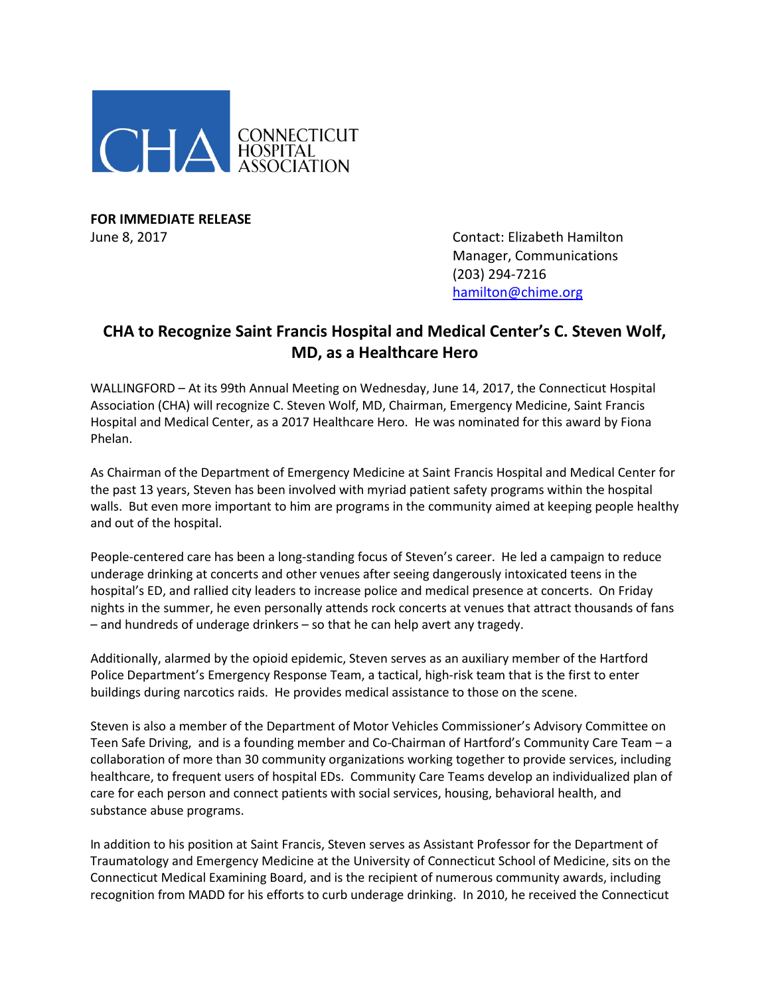

**FOR IMMEDIATE RELEASE**

June 8, 2017 Contact: Elizabeth Hamilton Manager, Communications (203) 294-7216 [hamilton@chime.org](mailto:hamilton@chime.org)

## **CHA to Recognize Saint Francis Hospital and Medical Center's C. Steven Wolf, MD, as a Healthcare Hero**

WALLINGFORD – At its 99th Annual Meeting on Wednesday, June 14, 2017, the Connecticut Hospital Association (CHA) will recognize C. Steven Wolf, MD, Chairman, Emergency Medicine, Saint Francis Hospital and Medical Center, as a 2017 Healthcare Hero. He was nominated for this award by Fiona Phelan.

As Chairman of the Department of Emergency Medicine at Saint Francis Hospital and Medical Center for the past 13 years, Steven has been involved with myriad patient safety programs within the hospital walls. But even more important to him are programs in the community aimed at keeping people healthy and out of the hospital.

People-centered care has been a long-standing focus of Steven's career. He led a campaign to reduce underage drinking at concerts and other venues after seeing dangerously intoxicated teens in the hospital's ED, and rallied city leaders to increase police and medical presence at concerts. On Friday nights in the summer, he even personally attends rock concerts at venues that attract thousands of fans – and hundreds of underage drinkers – so that he can help avert any tragedy.

Additionally, alarmed by the opioid epidemic, Steven serves as an auxiliary member of the Hartford Police Department's Emergency Response Team, a tactical, high-risk team that is the first to enter buildings during narcotics raids. He provides medical assistance to those on the scene.

Steven is also a member of the Department of Motor Vehicles Commissioner's Advisory Committee on Teen Safe Driving, and is a founding member and Co-Chairman of Hartford's Community Care Team – a collaboration of more than 30 community organizations working together to provide services, including healthcare, to frequent users of hospital EDs. Community Care Teams develop an individualized plan of care for each person and connect patients with social services, housing, behavioral health, and substance abuse programs.

In addition to his position at Saint Francis, Steven serves as Assistant Professor for the Department of Traumatology and Emergency Medicine at the University of Connecticut School of Medicine, sits on the Connecticut Medical Examining Board, and is the recipient of numerous community awards, including recognition from MADD for his efforts to curb underage drinking. In 2010, he received the Connecticut